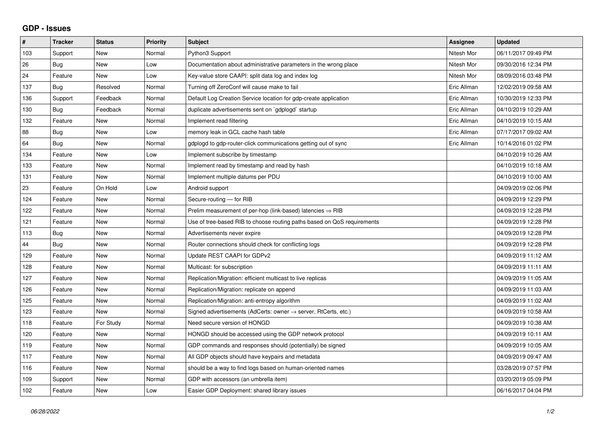## **GDP - Issues**

| $\pmb{\#}$ | <b>Tracker</b> | <b>Status</b> | <b>Priority</b> | <b>Subject</b>                                                          | Assignee    | <b>Updated</b>      |
|------------|----------------|---------------|-----------------|-------------------------------------------------------------------------|-------------|---------------------|
| 103        | Support        | <b>New</b>    | Normal          | Python3 Support                                                         | Nitesh Mor  | 06/11/2017 09:49 PM |
| 26         | Bug            | <b>New</b>    | Low             | Documentation about administrative parameters in the wrong place        | Nitesh Mor  | 09/30/2016 12:34 PM |
| 24         | Feature        | New           | Low             | Key-value store CAAPI: split data log and index log                     | Nitesh Mor  | 08/09/2016 03:48 PM |
| 137        | <b>Bug</b>     | Resolved      | Normal          | Turning off ZeroConf will cause make to fail                            | Eric Allman | 12/02/2019 09:58 AM |
| 136        | Support        | Feedback      | Normal          | Default Log Creation Service location for gdp-create application        | Eric Allman | 10/30/2019 12:33 PM |
| 130        | Bug            | Feedback      | Normal          | duplicate advertisements sent on `gdplogd` startup                      | Eric Allman | 04/10/2019 10:29 AM |
| 132        | Feature        | <b>New</b>    | Normal          | Implement read filtering                                                | Eric Allman | 04/10/2019 10:15 AM |
| 88         | <b>Bug</b>     | <b>New</b>    | Low             | memory leak in GCL cache hash table                                     | Eric Allman | 07/17/2017 09:02 AM |
| 64         | Bug            | <b>New</b>    | Normal          | gdplogd to gdp-router-click communications getting out of sync          | Eric Allman | 10/14/2016 01:02 PM |
| 134        | Feature        | <b>New</b>    | Low             | Implement subscribe by timestamp                                        |             | 04/10/2019 10:26 AM |
| 133        | Feature        | <b>New</b>    | Normal          | Implement read by timestamp and read by hash                            |             | 04/10/2019 10:18 AM |
| 131        | Feature        | New           | Normal          | Implement multiple datums per PDU                                       |             | 04/10/2019 10:00 AM |
| 23         | Feature        | On Hold       | Low             | Android support                                                         |             | 04/09/2019 02:06 PM |
| 124        | Feature        | <b>New</b>    | Normal          | Secure-routing - for RIB                                                |             | 04/09/2019 12:29 PM |
| 122        | Feature        | New           | Normal          | Prelim measurement of per-hop (link-based) latencies $\Rightarrow$ RIB  |             | 04/09/2019 12:28 PM |
| 121        | Feature        | <b>New</b>    | Normal          | Use of tree-based RIB to choose routing paths based on QoS requirements |             | 04/09/2019 12:28 PM |
| 113        | Bug            | New           | Normal          | Advertisements never expire                                             |             | 04/09/2019 12:28 PM |
| 44         | Bug            | New           | Normal          | Router connections should check for conflicting logs                    |             | 04/09/2019 12:28 PM |
| 129        | Feature        | <b>New</b>    | Normal          | Update REST CAAPI for GDPv2                                             |             | 04/09/2019 11:12 AM |
| 128        | Feature        | <b>New</b>    | Normal          | Multicast: for subscription                                             |             | 04/09/2019 11:11 AM |
| 127        | Feature        | New           | Normal          | Replication/Migration: efficient multicast to live replicas             |             | 04/09/2019 11:05 AM |
| 126        | Feature        | <b>New</b>    | Normal          | Replication/Migration: replicate on append                              |             | 04/09/2019 11:03 AM |
| 125        | Feature        | <b>New</b>    | Normal          | Replication/Migration: anti-entropy algorithm                           |             | 04/09/2019 11:02 AM |
| 123        | Feature        | <b>New</b>    | Normal          | Signed advertisements (AdCerts: owner → server, RtCerts, etc.)          |             | 04/09/2019 10:58 AM |
| 118        | Feature        | For Study     | Normal          | Need secure version of HONGD                                            |             | 04/09/2019 10:38 AM |
| 120        | Feature        | <b>New</b>    | Normal          | HONGD should be accessed using the GDP network protocol                 |             | 04/09/2019 10:11 AM |
| 119        | Feature        | <b>New</b>    | Normal          | GDP commands and responses should (potentially) be signed               |             | 04/09/2019 10:05 AM |
| 117        | Feature        | <b>New</b>    | Normal          | All GDP objects should have keypairs and metadata                       |             | 04/09/2019 09:47 AM |
| 116        | Feature        | <b>New</b>    | Normal          | should be a way to find logs based on human-oriented names              |             | 03/28/2019 07:57 PM |
| 109        | Support        | <b>New</b>    | Normal          | GDP with accessors (an umbrella item)                                   |             | 03/20/2019 05:09 PM |
| 102        | Feature        | New           | Low             | Easier GDP Deployment: shared library issues                            |             | 06/16/2017 04:04 PM |